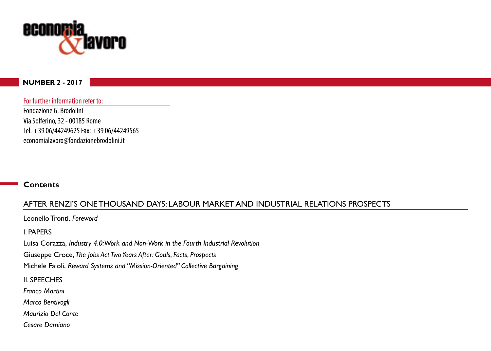

#### **NUMBER 2 - 2017**

For further information refer to:

Fondazione G. Brodolini Via Solferino, 32 - 00185 Rome Tel. +39 06/44249625 Fax: +39 06/44249565 economialavoro@fondazionebrodolini.it

#### **Contents**

## AFTER RENZI'S ONE THOUSAND DAYS: LABOUR MARKET AND INDUSTRIAL RELATIONS PROSPECTS

Leonello Tronti, *Foreword*

I. PAPERS

Luisa Corazza, *Industry 4.0: Work and Non-Work in the Fourth Industrial Revolution*

Giuseppe Croce, *The Jobs Act Two Years After: Goals, Facts, Prospects*

Michele Faioli, *Reward Systems and "Mission-Oriented" Collective Bargaining*

II. SPEECHES

*Franco Martini*

*Marco Bentivogli*

*Maurizio Del Conte*

*Cesare Damiano*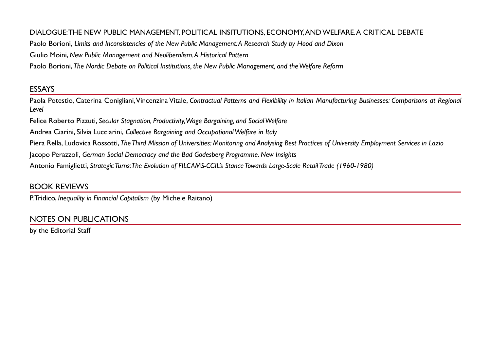### DIALOGUE: THE NEW PUBLIC MANAGEMENT, POLITICAL INSITUTIONS, ECONOMY, AND WELFARE. A CRITICAL DEBATE

Paolo Borioni, *Limits and Inconsistencies of the New Public Management: A Research Study by Hood and Dixon*

Giulio Moini, *New Public Management and Neoliberalism. A Historical Pattern*

Paolo Borioni, *The Nordic Debate on Political Institutions, the New Public Management, and the Welfare Reform*

# ESSAYS

Paola Potestio, Caterina Conigliani, Vincenzina Vitale, *Contractual Patterns and Flexibility in Italian Manufacturing Businesses: Comparisons at Regional Level*

Felice Roberto Pizzuti, *Secular Stagnation, Productivity, Wage Bargaining, and Social Welfare*

Andrea Ciarini, Silvia Lucciarini, *Collective Bargaining and Occupational Welfare in Italy*

Piera Rella, Ludovica Rossotti, *The Third Mission of Universities: Monitoring and Analysing Best Practices of University Employment Services in Lazio*

Jacopo Perazzoli, *German Social Democracy and the Bad Godesberg Programme. New Insights*

Antonio Famiglietti, *Strategic Turns: The Evolution of FILCAMS-CGIL's Stance Towards Large-Scale Retail Trade (1960-1980)*

# BOOK REVIEWS

P. Tridico, *Inequality in Financial Capitalism* (by Michele Raitano)

# NOTES ON PUBLICATIONS

by the Editorial Staff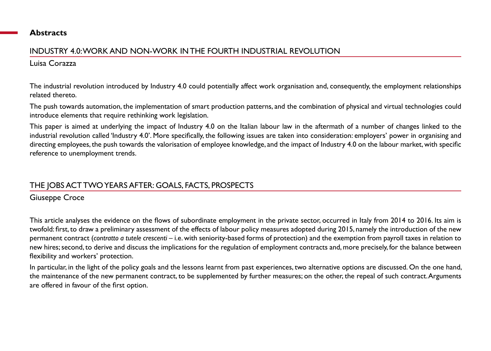### **Abstracts**

# INDUSTRY 4.0: WORK AND NON-WORK IN THE FOURTH INDUSTRIAL REVOLUTION

## Luisa Corazza

The industrial revolution introduced by Industry 4.0 could potentially affect work organisation and, consequently, the employment relationships related thereto.

The push towards automation, the implementation of smart production patterns, and the combination of physical and virtual technologies could introduce elements that require rethinking work legislation.

This paper is aimed at underlying the impact of Industry 4.0 on the Italian labour law in the aftermath of a number of changes linked to the industrial revolution called 'Industry 4.0'. More specifically, the following issues are taken into consideration: employers' power in organising and directing employees, the push towards the valorisation of employee knowledge, and the impact of Industry 4.0 on the labour market, with specific reference to unemployment trends.

# THE JOBS ACT TWO YEARS AFTER: GOALS, FACTS, PROSPECTS

Giuseppe Croce

This article analyses the evidence on the flows of subordinate employment in the private sector, occurred in Italy from 2014 to 2016. Its aim is twofold: first, to draw a preliminary assessment of the effects of labour policy measures adopted during 2015, namely the introduction of the new permanent contract (*contratto a tutele crescenti* – i.e. with seniority-based forms of protection) and the exemption from payroll taxes in relation to new hires; second, to derive and discuss the implications for the regulation of employment contracts and, more precisely, for the balance between flexibility and workers' protection.

In particular, in the light of the policy goals and the lessons learnt from past experiences, two alternative options are discussed. On the one hand, the maintenance of the new permanent contract, to be supplemented by further measures; on the other, the repeal of such contract. Arguments are offered in favour of the first option.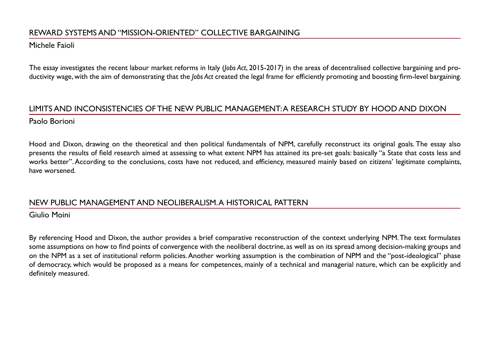## REWARD SYSTEMS AND "MISSION-ORIENTED" COLLECTIVE BARGAINING

#### Michele Faioli

The essay investigates the recent labour market reforms in Italy (*Jobs Act*, 2015-2017) in the areas of decentralised collective bargaining and productivity wage, with the aim of demonstrating that the *Jobs Act* created the legal frame for efficiently promoting and boosting firm-level bargaining.

## LIMITS AND INCONSISTENCIES OF THE NEW PUBLIC MANAGEMENT: A RESEARCH STUDY BY HOOD AND DIXON Paolo Borioni

Hood and Dixon, drawing on the theoretical and then political fundamentals of NPM, carefully reconstruct its original goals. The essay also presents the results of field research aimed at assessing to what extent NPM has attained its pre-set goals: basically "a State that costs less and works better". According to the conclusions, costs have not reduced, and efficiency, measured mainly based on citizens' legitimate complaints, have worsened.

### NEW PUBLIC MANAGEMENT AND NEOLIBERALISM. A HISTORICAL PATTERN

Giulio Moini

By referencing Hood and Dixon, the author provides a brief comparative reconstruction of the context underlying NPM. The text formulates some assumptions on how to find points of convergence with the neoliberal doctrine, as well as on its spread among decision-making groups and on the NPM as a set of institutional reform policies. Another working assumption is the combination of NPM and the "post-ideological" phase of democracy, which would be proposed as a means for competences, mainly of a technical and managerial nature, which can be explicitly and definitely measured.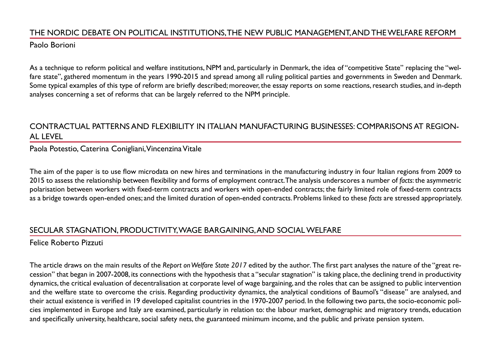# THE NORDIC DEBATE ON POLITICAL INSTITUTIONS, THE NEW PUBLIC MANAGEMENT, AND THE WELFARE REFORM

Paolo Borioni

As a technique to reform political and welfare institutions, NPM and, particularly in Denmark, the idea of "competitive State" replacing the "welfare state", gathered momentum in the years 1990-2015 and spread among all ruling political parties and governments in Sweden and Denmark. Some typical examples of this type of reform are briefly described; moreover, the essay reports on some reactions, research studies, and in-depth analyses concerning a set of reforms that can be largely referred to the NPM principle.

## CONTRACTUAL PATTERNS AND FLEXIBILITY IN ITALIAN MANUFACTURING BUSINESSES: COMPARISONS AT REGION-AL LEVEL

Paola Potestio, Caterina Conigliani, Vincenzina Vitale

The aim of the paper is to use flow microdata on new hires and terminations in the manufacturing industry in four Italian regions from 2009 to 2015 to assess the relationship between flexibility and forms of employment contract. The analysis underscores a number of *facts*: the asymmetric polarisation between workers with fixed-term contracts and workers with open-ended contracts; the fairly limited role of fixed-term contracts as a bridge towards open-ended ones; and the limited duration of open-ended contracts. Problems linked to these *facts* are stressed appropriately.

## SECULAR STAGNATION, PRODUCTIVITY, WAGE BARGAINING, AND SOCIAL WELFARE

# Felice Roberto Pizzuti

The article draws on the main results of the *Report on Welfare State 2017* edited by the author*.* The first part analyses the nature of the "great recession" that began in 2007-2008, its connections with the hypothesis that a "secular stagnation" is taking place, the declining trend in productivity dynamics, the critical evaluation of decentralisation at corporate level of wage bargaining, and the roles that can be assigned to public intervention and the welfare state to overcome the crisis. Regarding productivity dynamics, the analytical conditions of Baumol's "disease" are analysed, and their actual existence is verified in 19 developed capitalist countries in the 1970-2007 period. In the following two parts, the socio-economic policies implemented in Europe and Italy are examined, particularly in relation to: the labour market, demographic and migratory trends, education and specifically university, healthcare, social safety nets, the guaranteed minimum income, and the public and private pension system.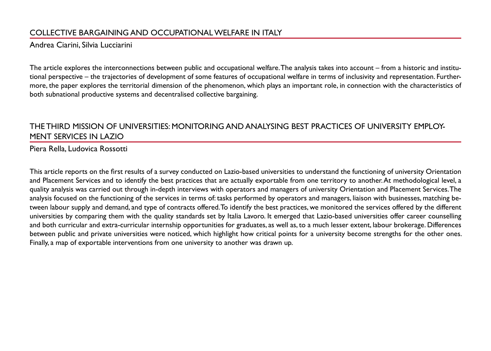# COLLECTIVE BARGAINING AND OCCUPATIONAL WELFARE IN ITALY

#### Andrea Ciarini, Silvia Lucciarini

The article explores the interconnections between public and occupational welfare. The analysis takes into account – from a historic and institutional perspective – the trajectories of development of some features of occupational welfare in terms of inclusivity and representation. Furthermore, the paper explores the territorial dimension of the phenomenon, which plays an important role, in connection with the characteristics of both subnational productive systems and decentralised collective bargaining.

## THE THIRD MISSION OF UNIVERSITIES: MONITORING AND ANALYSING BEST PRACTICES OF UNIVERSITY EMPLOY-MENT SERVICES IN LAZIO

Piera Rella, Ludovica Rossotti

This article reports on the first results of a survey conducted on Lazio-based universities to understand the functioning of university Orientation and Placement Services and to identify the best practices that are actually exportable from one territory to another. At methodological level, a quality analysis was carried out through in-depth interviews with operators and managers of university Orientation and Placement Services. The analysis focused on the functioning of the services in terms of: tasks performed by operators and managers, liaison with businesses, matching between labour supply and demand, and type of contracts offered. To identify the best practices, we monitored the services offered by the different universities by comparing them with the quality standards set by Italia Lavoro. It emerged that Lazio-based universities offer career counselling and both curricular and extra-curricular internship opportunities for graduates, as well as, to a much lesser extent, labour brokerage. Differences between public and private universities were noticed, which highlight how critical points for a university become strengths for the other ones. Finally, a map of exportable interventions from one university to another was drawn up.